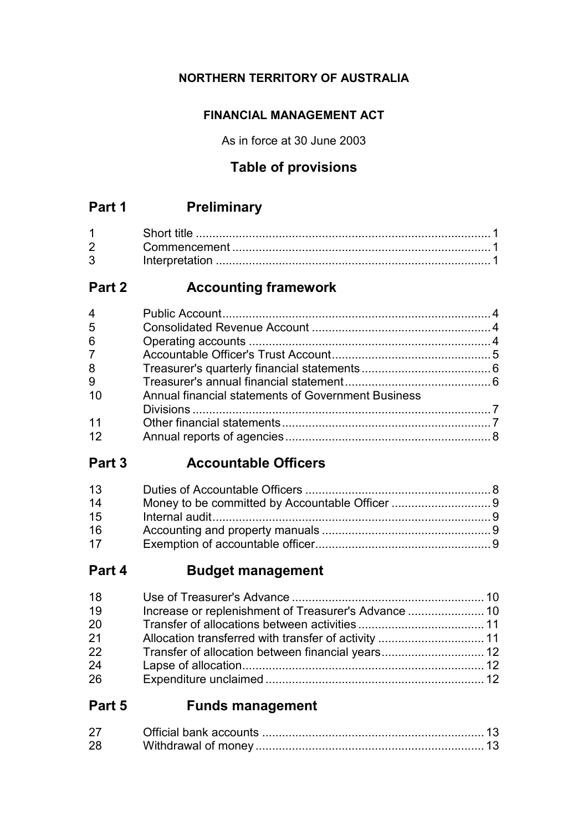### **NORTHERN TERRITORY OF AUSTRALIA**

### **FINANCIAL MANAGEMENT ACT**

As in force at 30 June 2003

### **Table of provisions**

## **Part 1 Preliminary**

| $2^{\sim}$ |  |
|------------|--|
| 3          |  |

## **Part 2 Accounting framework**

| $\overline{4}$ |                                                    |  |
|----------------|----------------------------------------------------|--|
| 5              |                                                    |  |
| 6              |                                                    |  |
| 7 <sup>7</sup> |                                                    |  |
| 8              |                                                    |  |
| 9              |                                                    |  |
| 10             | Annual financial statements of Government Business |  |
|                |                                                    |  |
| 11             |                                                    |  |
| 12             |                                                    |  |
|                |                                                    |  |

## **Part 3 Accountable Officers**

| 13 |  |
|----|--|
| 14 |  |
| 15 |  |
| 16 |  |
| 17 |  |

## **Part 4 Budget management**

| Transfer of allocation between financial years 12 |
|---------------------------------------------------|

## **Part 5 Funds management**

| 28 |  |
|----|--|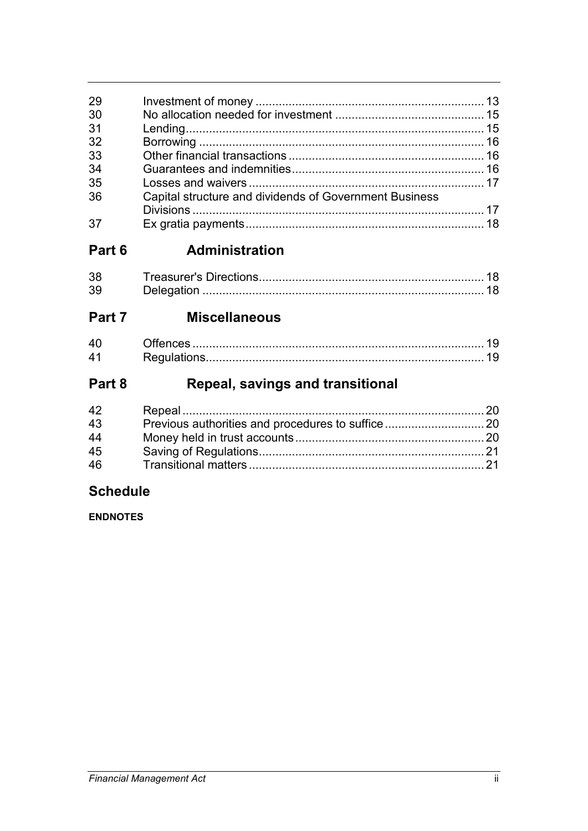| 29 |                                                        |  |
|----|--------------------------------------------------------|--|
| 30 |                                                        |  |
| 31 |                                                        |  |
| 32 |                                                        |  |
| 33 |                                                        |  |
| 34 |                                                        |  |
| 35 |                                                        |  |
| 36 | Capital structure and dividends of Government Business |  |
|    |                                                        |  |
|    |                                                        |  |
|    |                                                        |  |

#### Administration Part 6

| 38. |  |
|-----|--|
| 39  |  |

#### Part 7 **Miscellaneous**

#### Repeal, savings and transitional Part 8

| 42 |  |
|----|--|
| 43 |  |
| 44 |  |
| 45 |  |
| 46 |  |

### **Schedule**

**ENDNOTES**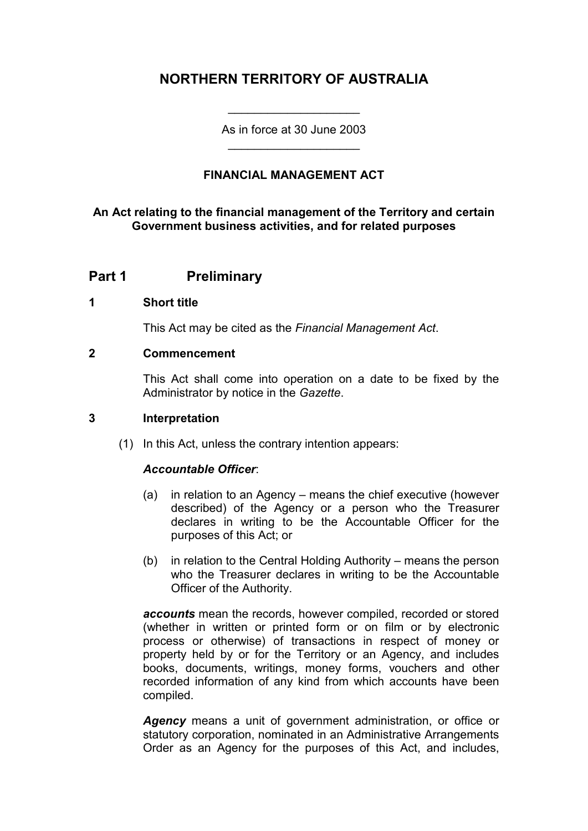### **NORTHERN TERRITORY OF AUSTRALIA**

As in force at 30 June 2003 \_\_\_\_\_\_\_\_\_\_\_\_\_\_\_\_\_\_\_\_

\_\_\_\_\_\_\_\_\_\_\_\_\_\_\_\_\_\_\_\_

### **FINANCIAL MANAGEMENT ACT**

#### **An Act relating to the financial management of the Territory and certain Government business activities, and for related purposes**

### **Part 1 Preliminary**

#### **1 Short title**

This Act may be cited as the *Financial Management Act*.

#### **2 Commencement**

This Act shall come into operation on a date to be fixed by the Administrator by notice in the *Gazette*.

#### **3 Interpretation**

(1) In this Act, unless the contrary intention appears:

#### *Accountable Officer*:

- (a) in relation to an Agency means the chief executive (however described) of the Agency or a person who the Treasurer declares in writing to be the Accountable Officer for the purposes of this Act; or
- (b) in relation to the Central Holding Authority means the person who the Treasurer declares in writing to be the Accountable Officer of the Authority.

*accounts* mean the records, however compiled, recorded or stored (whether in written or printed form or on film or by electronic process or otherwise) of transactions in respect of money or property held by or for the Territory or an Agency, and includes books, documents, writings, money forms, vouchers and other recorded information of any kind from which accounts have been compiled.

*Agency* means a unit of government administration, or office or statutory corporation, nominated in an Administrative Arrangements Order as an Agency for the purposes of this Act, and includes,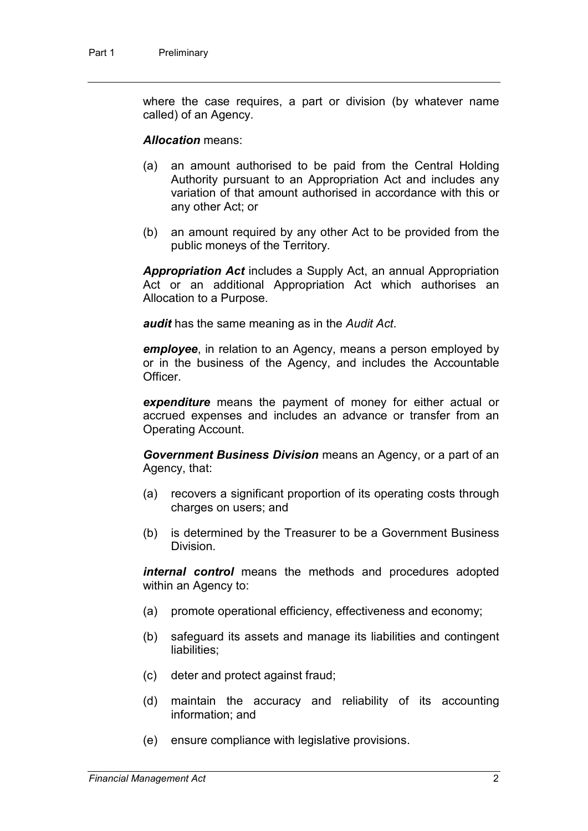where the case requires, a part or division (by whatever name called) of an Agency.

#### *Allocation* means:

- (a) an amount authorised to be paid from the Central Holding Authority pursuant to an Appropriation Act and includes any variation of that amount authorised in accordance with this or any other Act; or
- (b) an amount required by any other Act to be provided from the public moneys of the Territory.

*Appropriation Act* includes a Supply Act, an annual Appropriation Act or an additional Appropriation Act which authorises an Allocation to a Purpose.

*audit* has the same meaning as in the *Audit Act*.

*employee*, in relation to an Agency, means a person employed by or in the business of the Agency, and includes the Accountable **Officer** 

*expenditure* means the payment of money for either actual or accrued expenses and includes an advance or transfer from an Operating Account.

*Government Business Division* means an Agency, or a part of an Agency, that:

- (a) recovers a significant proportion of its operating costs through charges on users; and
- (b) is determined by the Treasurer to be a Government Business Division.

*internal control* means the methods and procedures adopted within an Agency to:

- (a) promote operational efficiency, effectiveness and economy;
- (b) safeguard its assets and manage its liabilities and contingent liabilities;
- (c) deter and protect against fraud;
- (d) maintain the accuracy and reliability of its accounting information; and
- (e) ensure compliance with legislative provisions.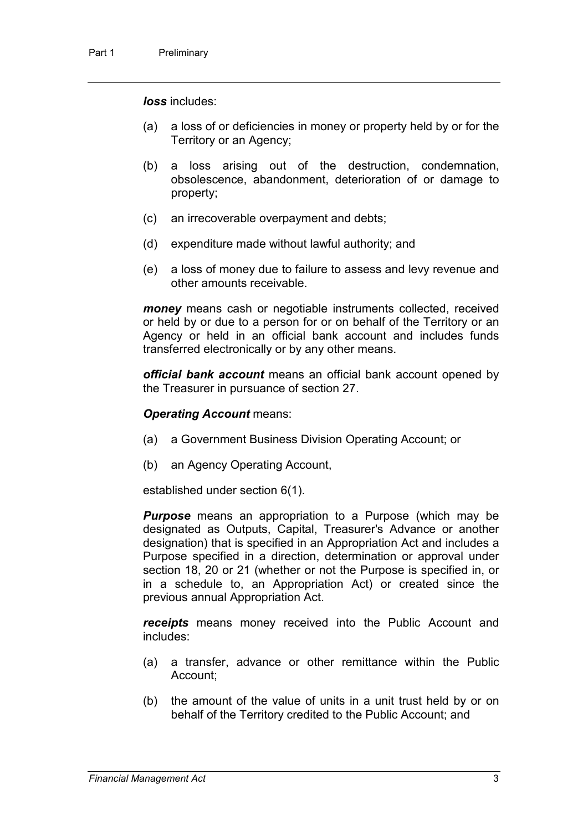*loss* includes:

- (a) a loss of or deficiencies in money or property held by or for the Territory or an Agency;
- (b) a loss arising out of the destruction, condemnation, obsolescence, abandonment, deterioration of or damage to property;
- (c) an irrecoverable overpayment and debts;
- (d) expenditure made without lawful authority; and
- (e) a loss of money due to failure to assess and levy revenue and other amounts receivable.

*money* means cash or negotiable instruments collected, received or held by or due to a person for or on behalf of the Territory or an Agency or held in an official bank account and includes funds transferred electronically or by any other means.

*official bank account* means an official bank account opened by the Treasurer in pursuance of section 27.

#### *Operating Account* means:

- (a) a Government Business Division Operating Account; or
- (b) an Agency Operating Account,

established under section 6(1).

*Purpose* means an appropriation to a Purpose (which may be designated as Outputs, Capital, Treasurer's Advance or another designation) that is specified in an Appropriation Act and includes a Purpose specified in a direction, determination or approval under section 18, 20 or 21 (whether or not the Purpose is specified in, or in a schedule to, an Appropriation Act) or created since the previous annual Appropriation Act.

*receipts* means money received into the Public Account and includes:

- (a) a transfer, advance or other remittance within the Public Account;
- (b) the amount of the value of units in a unit trust held by or on behalf of the Territory credited to the Public Account; and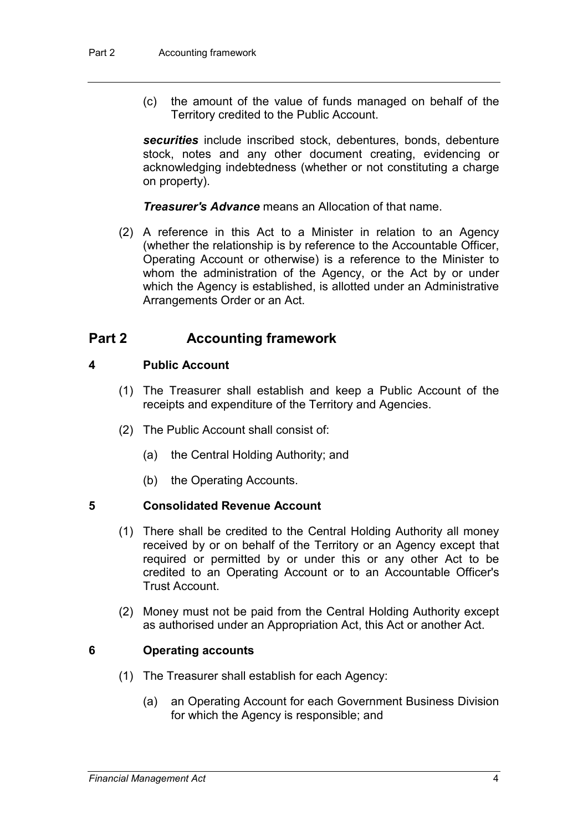(c) the amount of the value of funds managed on behalf of the Territory credited to the Public Account.

*securities* include inscribed stock, debentures, bonds, debenture stock, notes and any other document creating, evidencing or acknowledging indebtedness (whether or not constituting a charge on property).

*Treasurer's Advance* means an Allocation of that name.

(2) A reference in this Act to a Minister in relation to an Agency (whether the relationship is by reference to the Accountable Officer, Operating Account or otherwise) is a reference to the Minister to whom the administration of the Agency, or the Act by or under which the Agency is established, is allotted under an Administrative Arrangements Order or an Act.

### **Part 2 Accounting framework**

#### **4 Public Account**

- (1) The Treasurer shall establish and keep a Public Account of the receipts and expenditure of the Territory and Agencies.
- (2) The Public Account shall consist of:
	- (a) the Central Holding Authority; and
	- (b) the Operating Accounts.

#### **5 Consolidated Revenue Account**

- (1) There shall be credited to the Central Holding Authority all money received by or on behalf of the Territory or an Agency except that required or permitted by or under this or any other Act to be credited to an Operating Account or to an Accountable Officer's Trust Account.
- (2) Money must not be paid from the Central Holding Authority except as authorised under an Appropriation Act, this Act or another Act.

#### **6 Operating accounts**

- (1) The Treasurer shall establish for each Agency:
	- (a) an Operating Account for each Government Business Division for which the Agency is responsible; and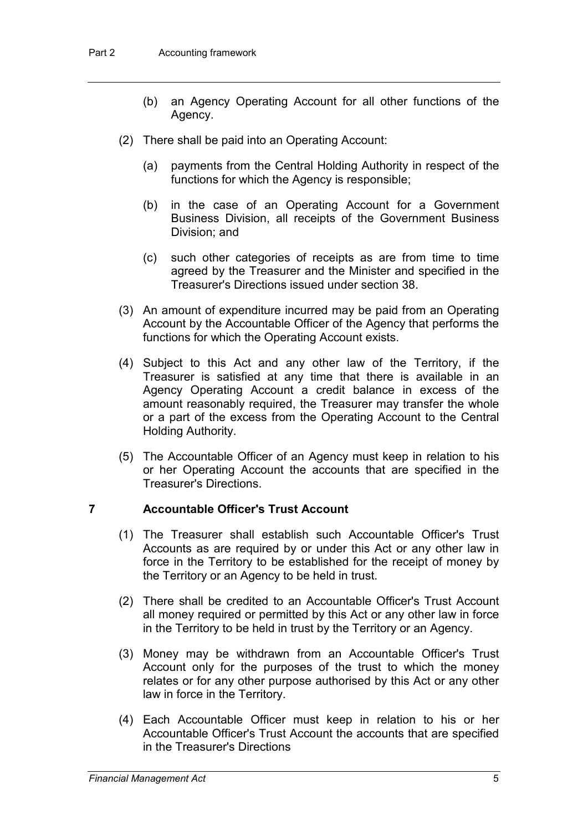- (b) an Agency Operating Account for all other functions of the Agency.
- (2) There shall be paid into an Operating Account:
	- (a) payments from the Central Holding Authority in respect of the functions for which the Agency is responsible;
	- (b) in the case of an Operating Account for a Government Business Division, all receipts of the Government Business Division; and
	- (c) such other categories of receipts as are from time to time agreed by the Treasurer and the Minister and specified in the Treasurer's Directions issued under section 38.
- (3) An amount of expenditure incurred may be paid from an Operating Account by the Accountable Officer of the Agency that performs the functions for which the Operating Account exists.
- (4) Subject to this Act and any other law of the Territory, if the Treasurer is satisfied at any time that there is available in an Agency Operating Account a credit balance in excess of the amount reasonably required, the Treasurer may transfer the whole or a part of the excess from the Operating Account to the Central Holding Authority.
- (5) The Accountable Officer of an Agency must keep in relation to his or her Operating Account the accounts that are specified in the Treasurer's Directions.

#### **7 Accountable Officer's Trust Account**

- (1) The Treasurer shall establish such Accountable Officer's Trust Accounts as are required by or under this Act or any other law in force in the Territory to be established for the receipt of money by the Territory or an Agency to be held in trust.
- (2) There shall be credited to an Accountable Officer's Trust Account all money required or permitted by this Act or any other law in force in the Territory to be held in trust by the Territory or an Agency.
- (3) Money may be withdrawn from an Accountable Officer's Trust Account only for the purposes of the trust to which the money relates or for any other purpose authorised by this Act or any other law in force in the Territory.
- (4) Each Accountable Officer must keep in relation to his or her Accountable Officer's Trust Account the accounts that are specified in the Treasurer's Directions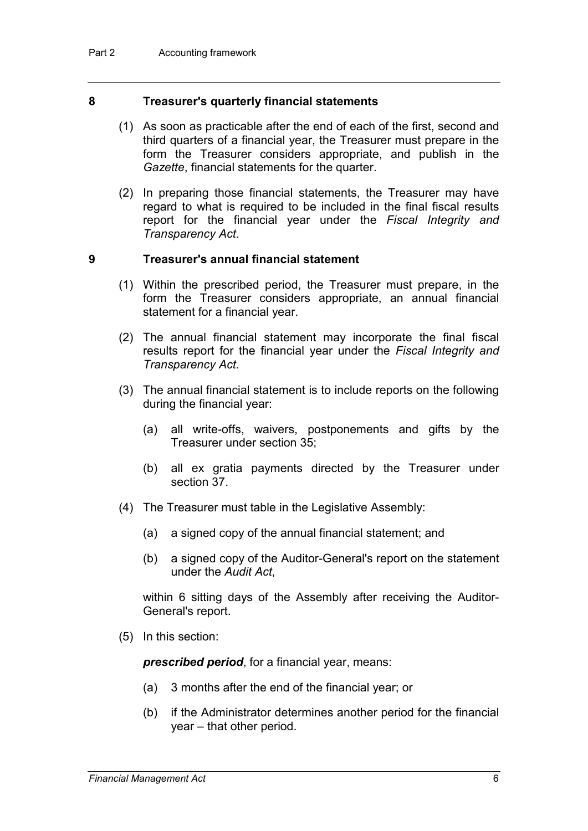#### **8 Treasurer's quarterly financial statements**

- (1) As soon as practicable after the end of each of the first, second and third quarters of a financial year, the Treasurer must prepare in the form the Treasurer considers appropriate, and publish in the *Gazette*, financial statements for the quarter.
- (2) In preparing those financial statements, the Treasurer may have regard to what is required to be included in the final fiscal results report for the financial year under the *Fiscal Integrity and Transparency Act*.

#### **9 Treasurer's annual financial statement**

- (1) Within the prescribed period, the Treasurer must prepare, in the form the Treasurer considers appropriate, an annual financial statement for a financial year.
- (2) The annual financial statement may incorporate the final fiscal results report for the financial year under the *Fiscal Integrity and Transparency Act*.
- (3) The annual financial statement is to include reports on the following during the financial year:
	- (a) all write-offs, waivers, postponements and gifts by the Treasurer under section 35;
	- (b) all ex gratia payments directed by the Treasurer under section 37.
- (4) The Treasurer must table in the Legislative Assembly:
	- (a) a signed copy of the annual financial statement; and
	- (b) a signed copy of the Auditor-General's report on the statement under the *Audit Act*,

within 6 sitting days of the Assembly after receiving the Auditor-General's report.

(5) In this section:

*prescribed period*, for a financial year, means:

- (a) 3 months after the end of the financial year; or
- (b) if the Administrator determines another period for the financial year – that other period.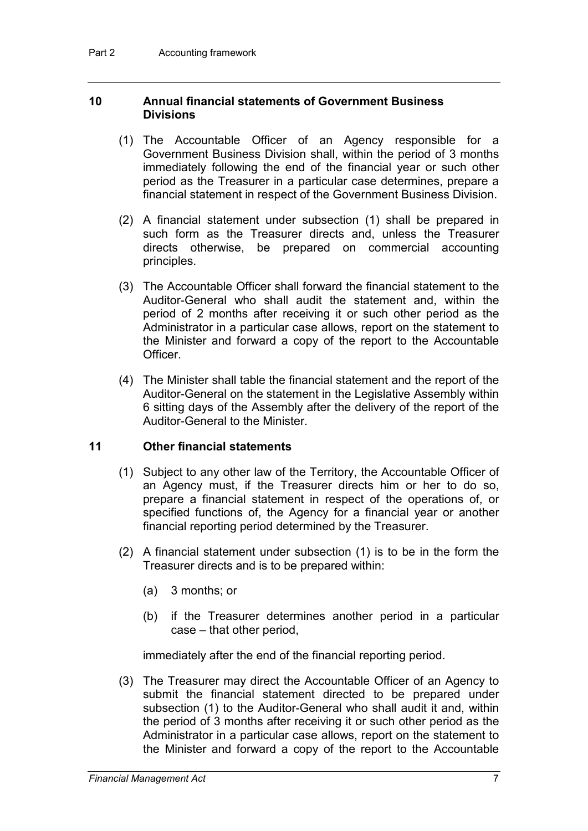#### **10 Annual financial statements of Government Business Divisions**

- (1) The Accountable Officer of an Agency responsible for a Government Business Division shall, within the period of 3 months immediately following the end of the financial year or such other period as the Treasurer in a particular case determines, prepare a financial statement in respect of the Government Business Division.
- (2) A financial statement under subsection (1) shall be prepared in such form as the Treasurer directs and, unless the Treasurer directs otherwise, be prepared on commercial accounting principles.
- (3) The Accountable Officer shall forward the financial statement to the Auditor-General who shall audit the statement and, within the period of 2 months after receiving it or such other period as the Administrator in a particular case allows, report on the statement to the Minister and forward a copy of the report to the Accountable Officer.
- (4) The Minister shall table the financial statement and the report of the Auditor-General on the statement in the Legislative Assembly within 6 sitting days of the Assembly after the delivery of the report of the Auditor-General to the Minister.

#### **11 Other financial statements**

- (1) Subject to any other law of the Territory, the Accountable Officer of an Agency must, if the Treasurer directs him or her to do so, prepare a financial statement in respect of the operations of, or specified functions of, the Agency for a financial year or another financial reporting period determined by the Treasurer.
- (2) A financial statement under subsection (1) is to be in the form the Treasurer directs and is to be prepared within:
	- (a) 3 months; or
	- (b) if the Treasurer determines another period in a particular case – that other period,

immediately after the end of the financial reporting period.

(3) The Treasurer may direct the Accountable Officer of an Agency to submit the financial statement directed to be prepared under subsection (1) to the Auditor-General who shall audit it and, within the period of 3 months after receiving it or such other period as the Administrator in a particular case allows, report on the statement to the Minister and forward a copy of the report to the Accountable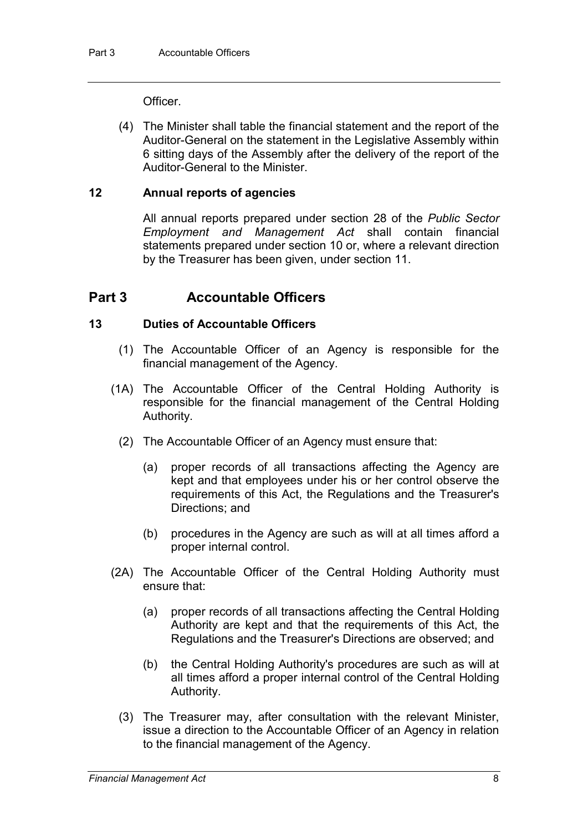**Officer** 

(4) The Minister shall table the financial statement and the report of the Auditor-General on the statement in the Legislative Assembly within 6 sitting days of the Assembly after the delivery of the report of the Auditor-General to the Minister.

#### **12 Annual reports of agencies**

All annual reports prepared under section 28 of the *Public Sector Employment and Management Act* shall contain financial statements prepared under section 10 or, where a relevant direction by the Treasurer has been given, under section 11.

### **Part 3 Accountable Officers**

#### **13 Duties of Accountable Officers**

- (1) The Accountable Officer of an Agency is responsible for the financial management of the Agency.
- (1A) The Accountable Officer of the Central Holding Authority is responsible for the financial management of the Central Holding Authority.
	- (2) The Accountable Officer of an Agency must ensure that:
		- (a) proper records of all transactions affecting the Agency are kept and that employees under his or her control observe the requirements of this Act, the Regulations and the Treasurer's Directions; and
		- (b) procedures in the Agency are such as will at all times afford a proper internal control.
- (2A) The Accountable Officer of the Central Holding Authority must ensure that:
	- (a) proper records of all transactions affecting the Central Holding Authority are kept and that the requirements of this Act, the Regulations and the Treasurer's Directions are observed; and
	- (b) the Central Holding Authority's procedures are such as will at all times afford a proper internal control of the Central Holding Authority.
	- (3) The Treasurer may, after consultation with the relevant Minister, issue a direction to the Accountable Officer of an Agency in relation to the financial management of the Agency.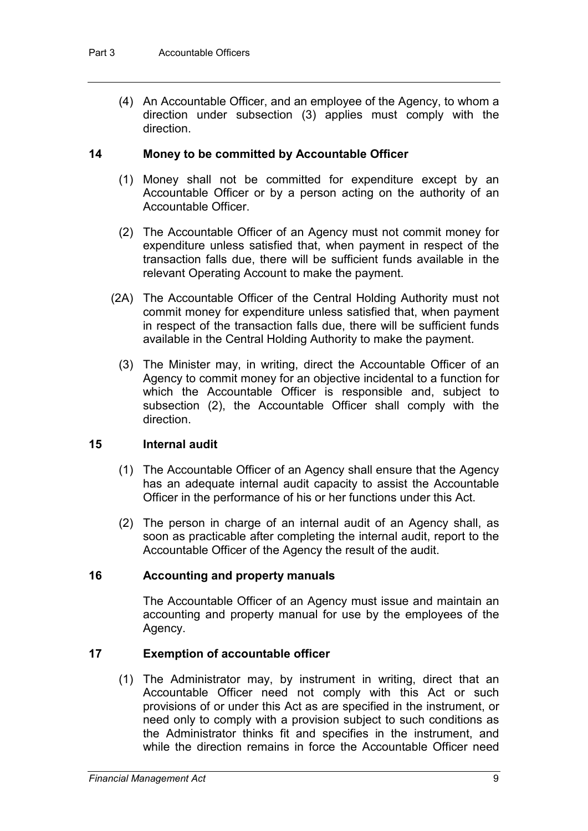(4) An Accountable Officer, and an employee of the Agency, to whom a direction under subsection (3) applies must comply with the direction.

#### **14 Money to be committed by Accountable Officer**

- (1) Money shall not be committed for expenditure except by an Accountable Officer or by a person acting on the authority of an Accountable Officer.
- (2) The Accountable Officer of an Agency must not commit money for expenditure unless satisfied that, when payment in respect of the transaction falls due, there will be sufficient funds available in the relevant Operating Account to make the payment.
- (2A) The Accountable Officer of the Central Holding Authority must not commit money for expenditure unless satisfied that, when payment in respect of the transaction falls due, there will be sufficient funds available in the Central Holding Authority to make the payment.
	- (3) The Minister may, in writing, direct the Accountable Officer of an Agency to commit money for an objective incidental to a function for which the Accountable Officer is responsible and, subject to subsection (2), the Accountable Officer shall comply with the direction.

#### **15 Internal audit**

- (1) The Accountable Officer of an Agency shall ensure that the Agency has an adequate internal audit capacity to assist the Accountable Officer in the performance of his or her functions under this Act.
- (2) The person in charge of an internal audit of an Agency shall, as soon as practicable after completing the internal audit, report to the Accountable Officer of the Agency the result of the audit.

#### **16 Accounting and property manuals**

The Accountable Officer of an Agency must issue and maintain an accounting and property manual for use by the employees of the Agency.

#### **17 Exemption of accountable officer**

(1) The Administrator may, by instrument in writing, direct that an Accountable Officer need not comply with this Act or such provisions of or under this Act as are specified in the instrument, or need only to comply with a provision subject to such conditions as the Administrator thinks fit and specifies in the instrument, and while the direction remains in force the Accountable Officer need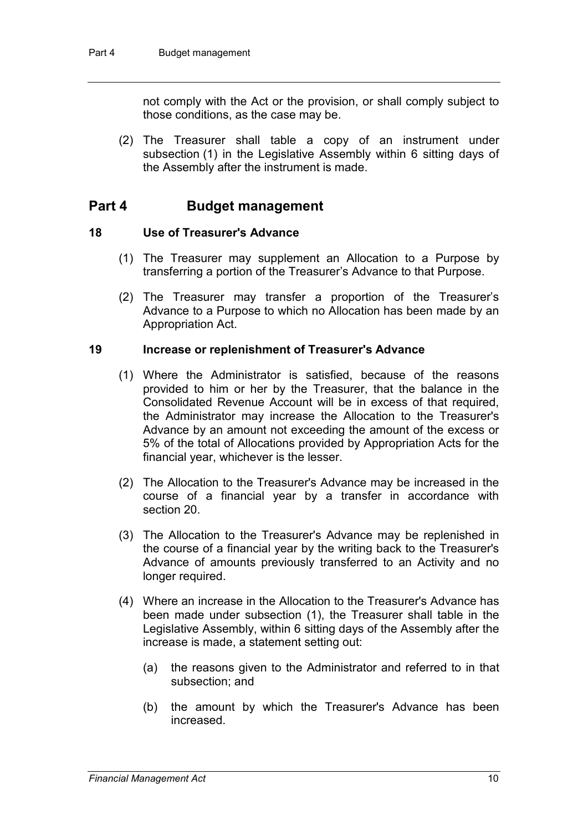not comply with the Act or the provision, or shall comply subject to those conditions, as the case may be.

(2) The Treasurer shall table a copy of an instrument under subsection (1) in the Legislative Assembly within 6 sitting days of the Assembly after the instrument is made.

### **Part 4 Budget management**

#### **18 Use of Treasurer's Advance**

- (1) The Treasurer may supplement an Allocation to a Purpose by transferring a portion of the Treasurer's Advance to that Purpose.
- (2) The Treasurer may transfer a proportion of the Treasurer's Advance to a Purpose to which no Allocation has been made by an Appropriation Act.

#### **19 Increase or replenishment of Treasurer's Advance**

- (1) Where the Administrator is satisfied, because of the reasons provided to him or her by the Treasurer, that the balance in the Consolidated Revenue Account will be in excess of that required, the Administrator may increase the Allocation to the Treasurer's Advance by an amount not exceeding the amount of the excess or 5% of the total of Allocations provided by Appropriation Acts for the financial year, whichever is the lesser.
- (2) The Allocation to the Treasurer's Advance may be increased in the course of a financial year by a transfer in accordance with section 20.
- (3) The Allocation to the Treasurer's Advance may be replenished in the course of a financial year by the writing back to the Treasurer's Advance of amounts previously transferred to an Activity and no longer required.
- (4) Where an increase in the Allocation to the Treasurer's Advance has been made under subsection (1), the Treasurer shall table in the Legislative Assembly, within 6 sitting days of the Assembly after the increase is made, a statement setting out:
	- (a) the reasons given to the Administrator and referred to in that subsection; and
	- (b) the amount by which the Treasurer's Advance has been increased.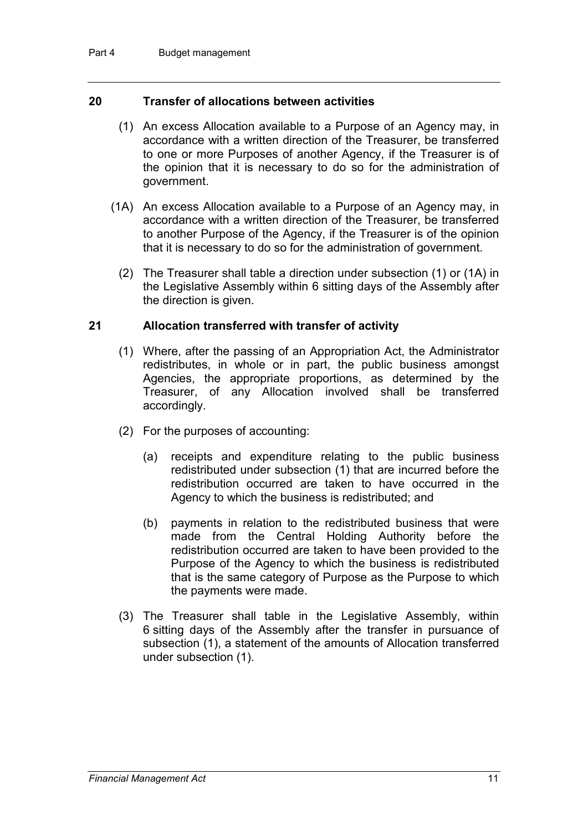#### **20 Transfer of allocations between activities**

- (1) An excess Allocation available to a Purpose of an Agency may, in accordance with a written direction of the Treasurer, be transferred to one or more Purposes of another Agency, if the Treasurer is of the opinion that it is necessary to do so for the administration of government.
- (1A) An excess Allocation available to a Purpose of an Agency may, in accordance with a written direction of the Treasurer, be transferred to another Purpose of the Agency, if the Treasurer is of the opinion that it is necessary to do so for the administration of government.
	- (2) The Treasurer shall table a direction under subsection (1) or (1A) in the Legislative Assembly within 6 sitting days of the Assembly after the direction is given.

#### **21 Allocation transferred with transfer of activity**

- (1) Where, after the passing of an Appropriation Act, the Administrator redistributes, in whole or in part, the public business amongst Agencies, the appropriate proportions, as determined by the Treasurer, of any Allocation involved shall be transferred accordingly.
- (2) For the purposes of accounting:
	- (a) receipts and expenditure relating to the public business redistributed under subsection (1) that are incurred before the redistribution occurred are taken to have occurred in the Agency to which the business is redistributed; and
	- (b) payments in relation to the redistributed business that were made from the Central Holding Authority before the redistribution occurred are taken to have been provided to the Purpose of the Agency to which the business is redistributed that is the same category of Purpose as the Purpose to which the payments were made.
- (3) The Treasurer shall table in the Legislative Assembly, within 6 sitting days of the Assembly after the transfer in pursuance of subsection (1), a statement of the amounts of Allocation transferred under subsection (1).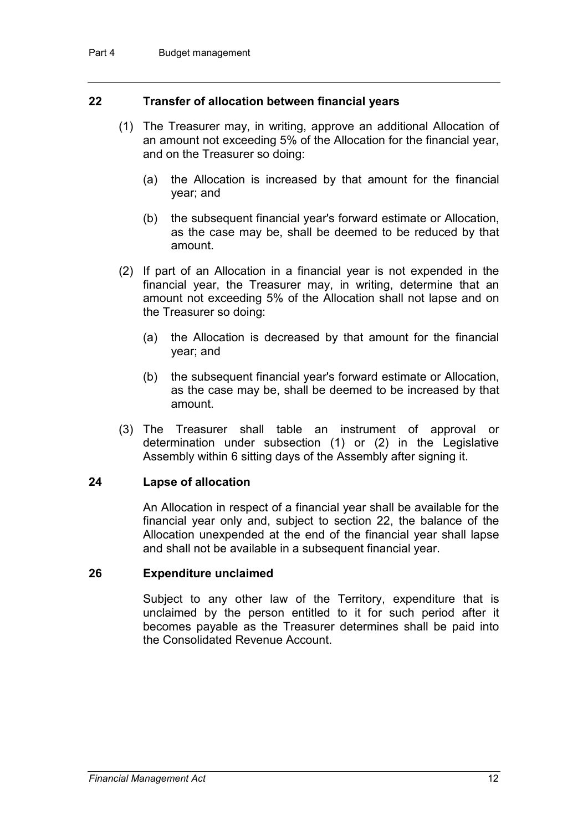#### **22 Transfer of allocation between financial years**

- (1) The Treasurer may, in writing, approve an additional Allocation of an amount not exceeding 5% of the Allocation for the financial year, and on the Treasurer so doing:
	- (a) the Allocation is increased by that amount for the financial year; and
	- (b) the subsequent financial year's forward estimate or Allocation, as the case may be, shall be deemed to be reduced by that amount.
- (2) If part of an Allocation in a financial year is not expended in the financial year, the Treasurer may, in writing, determine that an amount not exceeding 5% of the Allocation shall not lapse and on the Treasurer so doing:
	- (a) the Allocation is decreased by that amount for the financial year; and
	- (b) the subsequent financial year's forward estimate or Allocation, as the case may be, shall be deemed to be increased by that amount.
- (3) The Treasurer shall table an instrument of approval or determination under subsection (1) or (2) in the Legislative Assembly within 6 sitting days of the Assembly after signing it.

#### **24 Lapse of allocation**

An Allocation in respect of a financial year shall be available for the financial year only and, subject to section 22, the balance of the Allocation unexpended at the end of the financial year shall lapse and shall not be available in a subsequent financial year.

#### **26 Expenditure unclaimed**

Subject to any other law of the Territory, expenditure that is unclaimed by the person entitled to it for such period after it becomes payable as the Treasurer determines shall be paid into the Consolidated Revenue Account.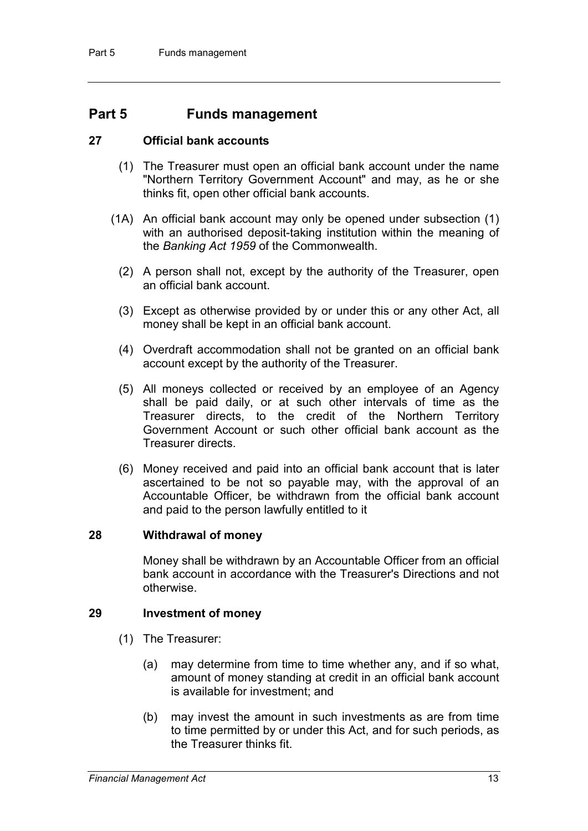### **Part 5 Funds management**

#### **27 Official bank accounts**

- (1) The Treasurer must open an official bank account under the name "Northern Territory Government Account" and may, as he or she thinks fit, open other official bank accounts.
- (1A) An official bank account may only be opened under subsection (1) with an authorised deposit-taking institution within the meaning of the *Banking Act 1959* of the Commonwealth.
	- (2) A person shall not, except by the authority of the Treasurer, open an official bank account.
	- (3) Except as otherwise provided by or under this or any other Act, all money shall be kept in an official bank account.
	- (4) Overdraft accommodation shall not be granted on an official bank account except by the authority of the Treasurer.
	- (5) All moneys collected or received by an employee of an Agency shall be paid daily, or at such other intervals of time as the Treasurer directs, to the credit of the Northern Territory Government Account or such other official bank account as the Treasurer directs.
	- (6) Money received and paid into an official bank account that is later ascertained to be not so payable may, with the approval of an Accountable Officer, be withdrawn from the official bank account and paid to the person lawfully entitled to it

#### **28 Withdrawal of money**

Money shall be withdrawn by an Accountable Officer from an official bank account in accordance with the Treasurer's Directions and not otherwise.

#### **29 Investment of money**

- (1) The Treasurer:
	- (a) may determine from time to time whether any, and if so what, amount of money standing at credit in an official bank account is available for investment; and
	- (b) may invest the amount in such investments as are from time to time permitted by or under this Act, and for such periods, as the Treasurer thinks fit.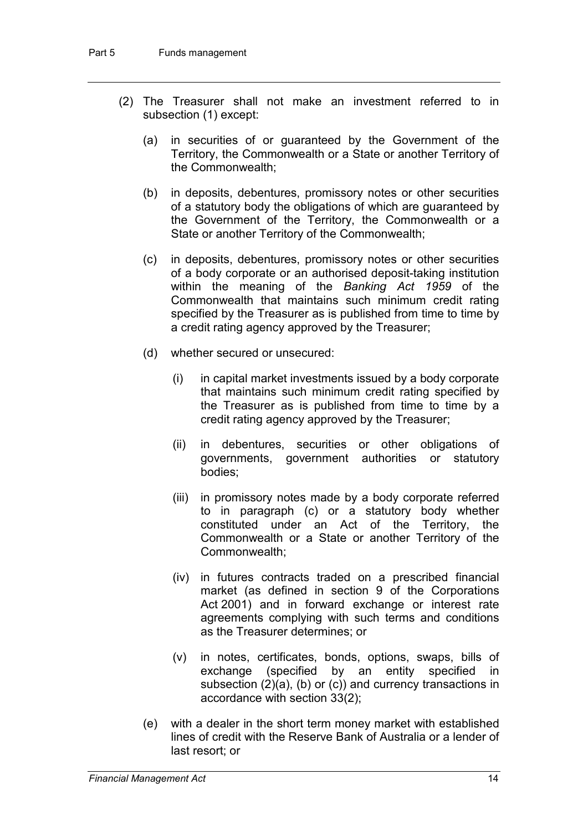- (2) The Treasurer shall not make an investment referred to in subsection (1) except:
	- (a) in securities of or guaranteed by the Government of the Territory, the Commonwealth or a State or another Territory of the Commonwealth;
	- (b) in deposits, debentures, promissory notes or other securities of a statutory body the obligations of which are guaranteed by the Government of the Territory, the Commonwealth or a State or another Territory of the Commonwealth;
	- (c) in deposits, debentures, promissory notes or other securities of a body corporate or an authorised deposit-taking institution within the meaning of the *Banking Act 1959* of the Commonwealth that maintains such minimum credit rating specified by the Treasurer as is published from time to time by a credit rating agency approved by the Treasurer;
	- (d) whether secured or unsecured:
		- (i) in capital market investments issued by a body corporate that maintains such minimum credit rating specified by the Treasurer as is published from time to time by a credit rating agency approved by the Treasurer;
		- (ii) in debentures, securities or other obligations of governments, government authorities or statutory bodies;
		- (iii) in promissory notes made by a body corporate referred to in paragraph (c) or a statutory body whether constituted under an Act of the Territory, the Commonwealth or a State or another Territory of the Commonwealth;
		- (iv) in futures contracts traded on a prescribed financial market (as defined in section 9 of the Corporations Act 2001) and in forward exchange or interest rate agreements complying with such terms and conditions as the Treasurer determines; or
		- (v) in notes, certificates, bonds, options, swaps, bills of exchange (specified by an entity specified in subsection (2)(a), (b) or (c)) and currency transactions in accordance with section 33(2);
	- (e) with a dealer in the short term money market with established lines of credit with the Reserve Bank of Australia or a lender of last resort; or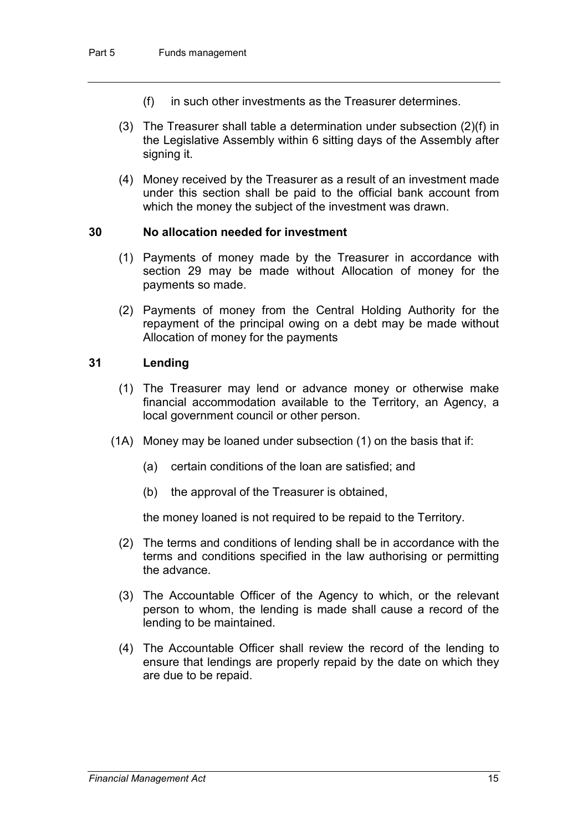- (f) in such other investments as the Treasurer determines.
- (3) The Treasurer shall table a determination under subsection (2)(f) in the Legislative Assembly within 6 sitting days of the Assembly after signing it.
- (4) Money received by the Treasurer as a result of an investment made under this section shall be paid to the official bank account from which the money the subject of the investment was drawn.

#### **30 No allocation needed for investment**

- (1) Payments of money made by the Treasurer in accordance with section 29 may be made without Allocation of money for the payments so made.
- (2) Payments of money from the Central Holding Authority for the repayment of the principal owing on a debt may be made without Allocation of money for the payments

#### **31 Lending**

- (1) The Treasurer may lend or advance money or otherwise make financial accommodation available to the Territory, an Agency, a local government council or other person.
- (1A) Money may be loaned under subsection (1) on the basis that if:
	- (a) certain conditions of the loan are satisfied; and
	- (b) the approval of the Treasurer is obtained,

the money loaned is not required to be repaid to the Territory.

- (2) The terms and conditions of lending shall be in accordance with the terms and conditions specified in the law authorising or permitting the advance.
- (3) The Accountable Officer of the Agency to which, or the relevant person to whom, the lending is made shall cause a record of the lending to be maintained.
- (4) The Accountable Officer shall review the record of the lending to ensure that lendings are properly repaid by the date on which they are due to be repaid.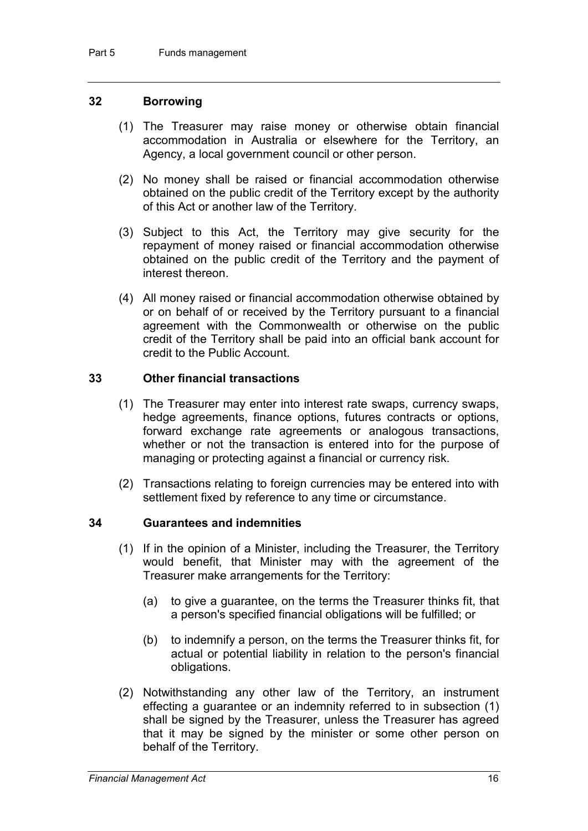#### **32 Borrowing**

- (1) The Treasurer may raise money or otherwise obtain financial accommodation in Australia or elsewhere for the Territory, an Agency, a local government council or other person.
- (2) No money shall be raised or financial accommodation otherwise obtained on the public credit of the Territory except by the authority of this Act or another law of the Territory.
- (3) Subject to this Act, the Territory may give security for the repayment of money raised or financial accommodation otherwise obtained on the public credit of the Territory and the payment of interest thereon.
- (4) All money raised or financial accommodation otherwise obtained by or on behalf of or received by the Territory pursuant to a financial agreement with the Commonwealth or otherwise on the public credit of the Territory shall be paid into an official bank account for credit to the Public Account.

#### **33 Other financial transactions**

- (1) The Treasurer may enter into interest rate swaps, currency swaps, hedge agreements, finance options, futures contracts or options, forward exchange rate agreements or analogous transactions, whether or not the transaction is entered into for the purpose of managing or protecting against a financial or currency risk.
- (2) Transactions relating to foreign currencies may be entered into with settlement fixed by reference to any time or circumstance.

#### **34 Guarantees and indemnities**

- (1) If in the opinion of a Minister, including the Treasurer, the Territory would benefit, that Minister may with the agreement of the Treasurer make arrangements for the Territory:
	- (a) to give a guarantee, on the terms the Treasurer thinks fit, that a person's specified financial obligations will be fulfilled; or
	- (b) to indemnify a person, on the terms the Treasurer thinks fit, for actual or potential liability in relation to the person's financial obligations.
- (2) Notwithstanding any other law of the Territory, an instrument effecting a guarantee or an indemnity referred to in subsection (1) shall be signed by the Treasurer, unless the Treasurer has agreed that it may be signed by the minister or some other person on behalf of the Territory.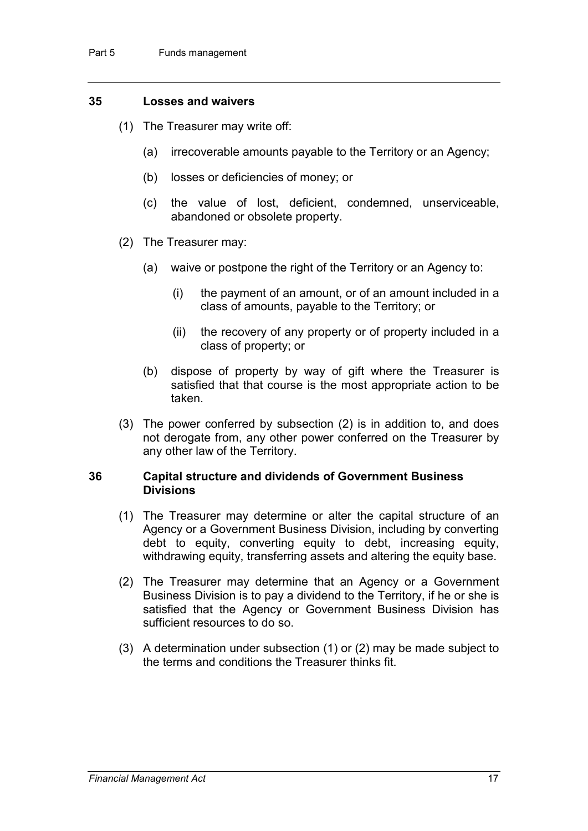#### **35 Losses and waivers**

- (1) The Treasurer may write off:
	- (a) irrecoverable amounts payable to the Territory or an Agency;
	- (b) losses or deficiencies of money; or
	- (c) the value of lost, deficient, condemned, unserviceable, abandoned or obsolete property.
- (2) The Treasurer may:
	- (a) waive or postpone the right of the Territory or an Agency to:
		- (i) the payment of an amount, or of an amount included in a class of amounts, payable to the Territory; or
		- (ii) the recovery of any property or of property included in a class of property; or
	- (b) dispose of property by way of gift where the Treasurer is satisfied that that course is the most appropriate action to be taken.
- (3) The power conferred by subsection (2) is in addition to, and does not derogate from, any other power conferred on the Treasurer by any other law of the Territory.

#### **36 Capital structure and dividends of Government Business Divisions**

- (1) The Treasurer may determine or alter the capital structure of an Agency or a Government Business Division, including by converting debt to equity, converting equity to debt, increasing equity, withdrawing equity, transferring assets and altering the equity base.
- (2) The Treasurer may determine that an Agency or a Government Business Division is to pay a dividend to the Territory, if he or she is satisfied that the Agency or Government Business Division has sufficient resources to do so.
- (3) A determination under subsection (1) or (2) may be made subject to the terms and conditions the Treasurer thinks fit.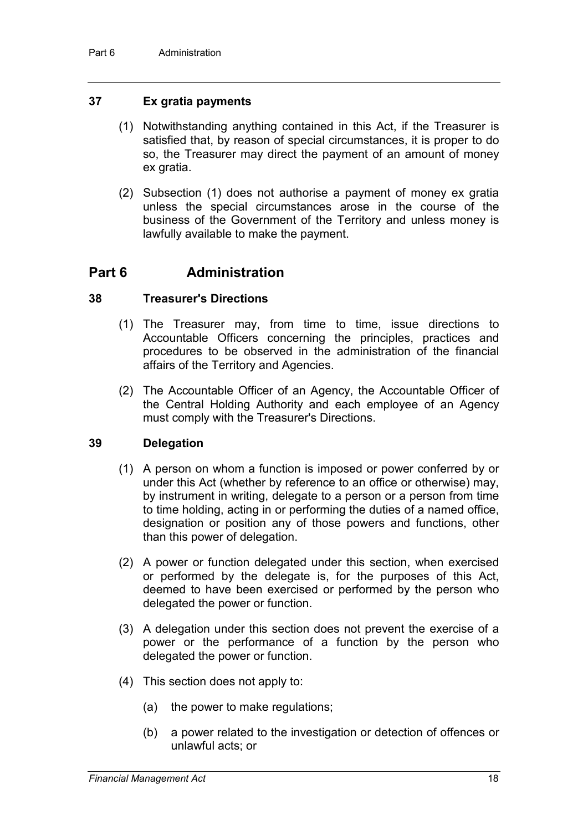#### **37 Ex gratia payments**

- (1) Notwithstanding anything contained in this Act, if the Treasurer is satisfied that, by reason of special circumstances, it is proper to do so, the Treasurer may direct the payment of an amount of money ex gratia.
- (2) Subsection (1) does not authorise a payment of money ex gratia unless the special circumstances arose in the course of the business of the Government of the Territory and unless money is lawfully available to make the payment.

### **Part 6 Administration**

#### **38 Treasurer's Directions**

- (1) The Treasurer may, from time to time, issue directions to Accountable Officers concerning the principles, practices and procedures to be observed in the administration of the financial affairs of the Territory and Agencies.
- (2) The Accountable Officer of an Agency, the Accountable Officer of the Central Holding Authority and each employee of an Agency must comply with the Treasurer's Directions.

#### **39 Delegation**

- (1) A person on whom a function is imposed or power conferred by or under this Act (whether by reference to an office or otherwise) may, by instrument in writing, delegate to a person or a person from time to time holding, acting in or performing the duties of a named office, designation or position any of those powers and functions, other than this power of delegation.
- (2) A power or function delegated under this section, when exercised or performed by the delegate is, for the purposes of this Act, deemed to have been exercised or performed by the person who delegated the power or function.
- (3) A delegation under this section does not prevent the exercise of a power or the performance of a function by the person who delegated the power or function.
- (4) This section does not apply to:
	- (a) the power to make regulations;
	- (b) a power related to the investigation or detection of offences or unlawful acts; or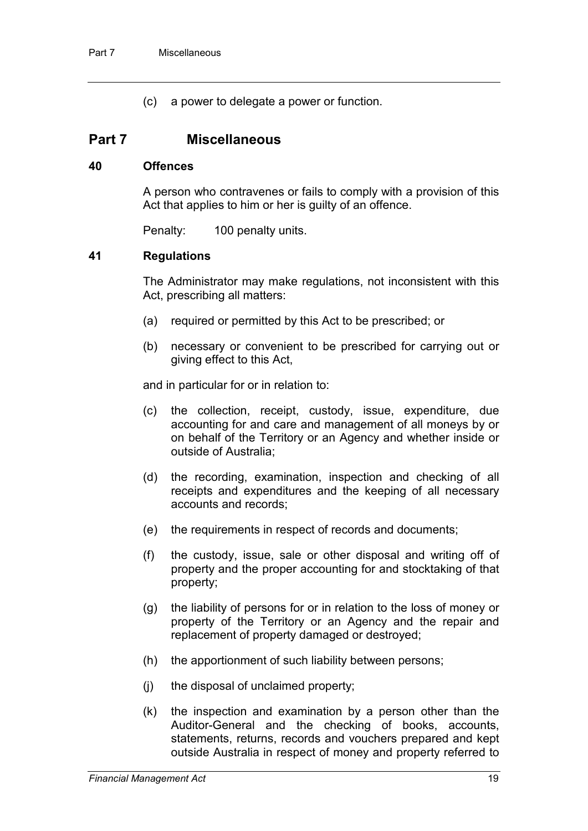(c) a power to delegate a power or function.

### **Part 7 Miscellaneous**

#### **40 Offences**

A person who contravenes or fails to comply with a provision of this Act that applies to him or her is guilty of an offence.

Penalty: 100 penalty units.

#### **41 Regulations**

The Administrator may make regulations, not inconsistent with this Act, prescribing all matters:

- (a) required or permitted by this Act to be prescribed; or
- (b) necessary or convenient to be prescribed for carrying out or giving effect to this Act,

and in particular for or in relation to:

- (c) the collection, receipt, custody, issue, expenditure, due accounting for and care and management of all moneys by or on behalf of the Territory or an Agency and whether inside or outside of Australia;
- (d) the recording, examination, inspection and checking of all receipts and expenditures and the keeping of all necessary accounts and records;
- (e) the requirements in respect of records and documents;
- (f) the custody, issue, sale or other disposal and writing off of property and the proper accounting for and stocktaking of that property;
- (g) the liability of persons for or in relation to the loss of money or property of the Territory or an Agency and the repair and replacement of property damaged or destroyed;
- (h) the apportionment of such liability between persons;
- (j) the disposal of unclaimed property;
- (k) the inspection and examination by a person other than the Auditor-General and the checking of books, accounts, statements, returns, records and vouchers prepared and kept outside Australia in respect of money and property referred to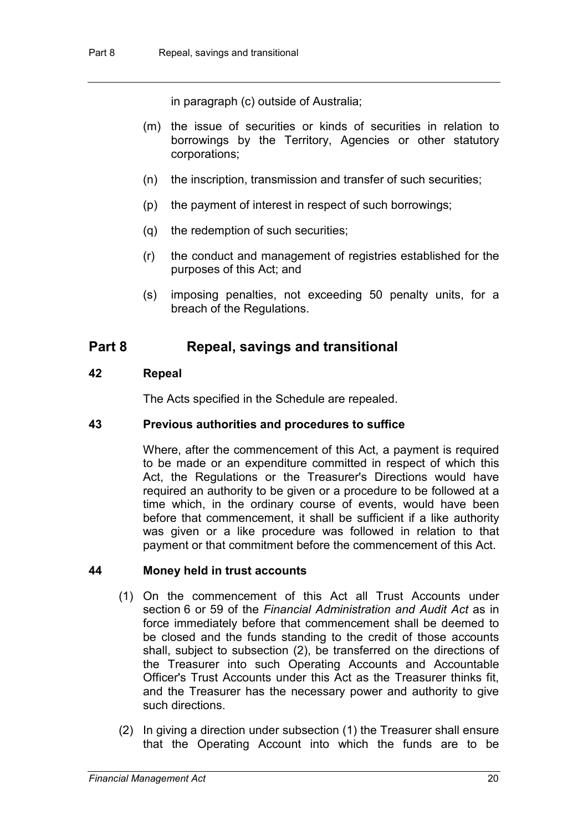in paragraph (c) outside of Australia;

- (m) the issue of securities or kinds of securities in relation to borrowings by the Territory, Agencies or other statutory corporations;
- (n) the inscription, transmission and transfer of such securities;
- (p) the payment of interest in respect of such borrowings;
- (q) the redemption of such securities;
- (r) the conduct and management of registries established for the purposes of this Act; and
- (s) imposing penalties, not exceeding 50 penalty units, for a breach of the Regulations.

### **Part 8 Repeal, savings and transitional**

#### **42 Repeal**

The Acts specified in the Schedule are repealed.

#### **43 Previous authorities and procedures to suffice**

Where, after the commencement of this Act, a payment is required to be made or an expenditure committed in respect of which this Act, the Regulations or the Treasurer's Directions would have required an authority to be given or a procedure to be followed at a time which, in the ordinary course of events, would have been before that commencement, it shall be sufficient if a like authority was given or a like procedure was followed in relation to that payment or that commitment before the commencement of this Act.

#### **44 Money held in trust accounts**

- (1) On the commencement of this Act all Trust Accounts under section 6 or 59 of the *Financial Administration and Audit Act* as in force immediately before that commencement shall be deemed to be closed and the funds standing to the credit of those accounts shall, subject to subsection (2), be transferred on the directions of the Treasurer into such Operating Accounts and Accountable Officer's Trust Accounts under this Act as the Treasurer thinks fit, and the Treasurer has the necessary power and authority to give such directions.
- (2) In giving a direction under subsection (1) the Treasurer shall ensure that the Operating Account into which the funds are to be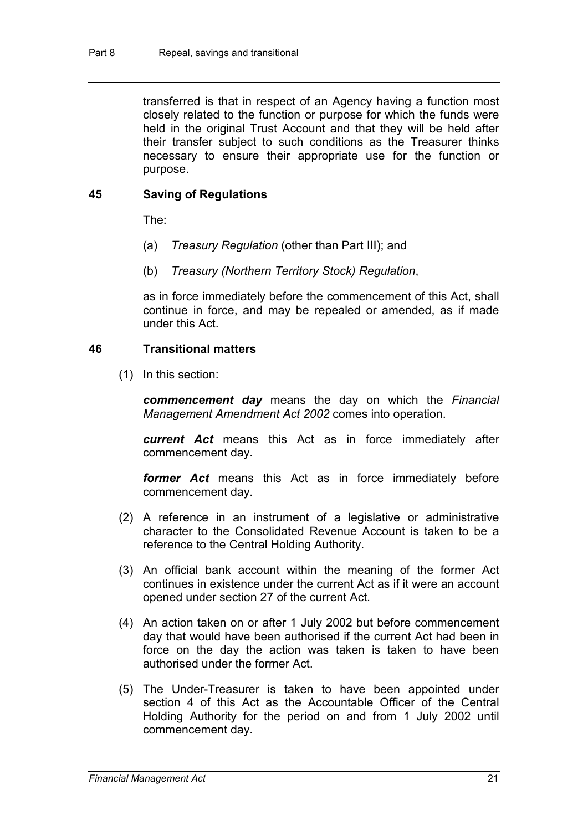transferred is that in respect of an Agency having a function most closely related to the function or purpose for which the funds were held in the original Trust Account and that they will be held after their transfer subject to such conditions as the Treasurer thinks necessary to ensure their appropriate use for the function or purpose.

#### **45 Saving of Regulations**

The:

- (a) *Treasury Regulation* (other than Part III); and
- (b) *Treasury (Northern Territory Stock) Regulation*,

as in force immediately before the commencement of this Act, shall continue in force, and may be repealed or amended, as if made under this Act.

#### **46 Transitional matters**

(1) In this section:

*commencement day* means the day on which the *Financial Management Amendment Act 2002* comes into operation.

*current Act* means this Act as in force immediately after commencement day.

*former Act* means this Act as in force immediately before commencement day.

- (2) A reference in an instrument of a legislative or administrative character to the Consolidated Revenue Account is taken to be a reference to the Central Holding Authority.
- (3) An official bank account within the meaning of the former Act continues in existence under the current Act as if it were an account opened under section 27 of the current Act.
- (4) An action taken on or after 1 July 2002 but before commencement day that would have been authorised if the current Act had been in force on the day the action was taken is taken to have been authorised under the former Act.
- (5) The Under-Treasurer is taken to have been appointed under section 4 of this Act as the Accountable Officer of the Central Holding Authority for the period on and from 1 July 2002 until commencement day.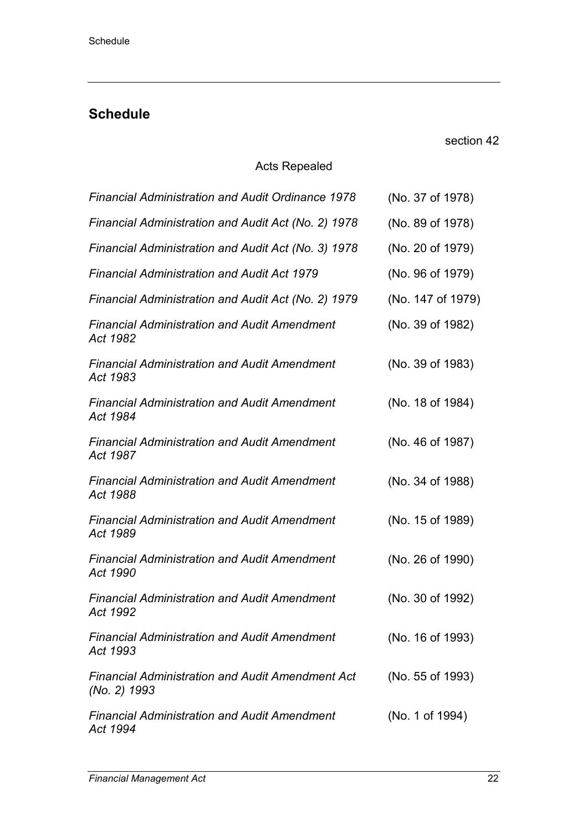### **Schedule**

section 42

### Acts Repealed

| <b>Financial Administration and Audit Ordinance 1978</b>                | (No. 37 of 1978)  |
|-------------------------------------------------------------------------|-------------------|
| Financial Administration and Audit Act (No. 2) 1978                     | (No. 89 of 1978)  |
| Financial Administration and Audit Act (No. 3) 1978                     | (No. 20 of 1979)  |
| <b>Financial Administration and Audit Act 1979</b>                      | (No. 96 of 1979)  |
| Financial Administration and Audit Act (No. 2) 1979                     | (No. 147 of 1979) |
| <b>Financial Administration and Audit Amendment</b><br>Act 1982         | (No. 39 of 1982)  |
| <b>Financial Administration and Audit Amendment</b><br>Act 1983         | (No. 39 of 1983)  |
| <b>Financial Administration and Audit Amendment</b><br>Act 1984         | (No. 18 of 1984)  |
| <b>Financial Administration and Audit Amendment</b><br>Act 1987         | (No. 46 of 1987)  |
| <b>Financial Administration and Audit Amendment</b><br>Act 1988         | (No. 34 of 1988)  |
| <b>Financial Administration and Audit Amendment</b><br>Act 1989         | (No. 15 of 1989)  |
| <b>Financial Administration and Audit Amendment</b><br>Act 1990         | (No. 26 of 1990)  |
| <b>Financial Administration and Audit Amendment</b><br>Act 1992         | (No. 30 of 1992)  |
| <b>Financial Administration and Audit Amendment</b><br>Act 1993         | (No. 16 of 1993)  |
| <b>Financial Administration and Audit Amendment Act</b><br>(No. 2) 1993 | (No. 55 of 1993)  |
| <b>Financial Administration and Audit Amendment</b><br>Act 1994         | (No. 1 of 1994)   |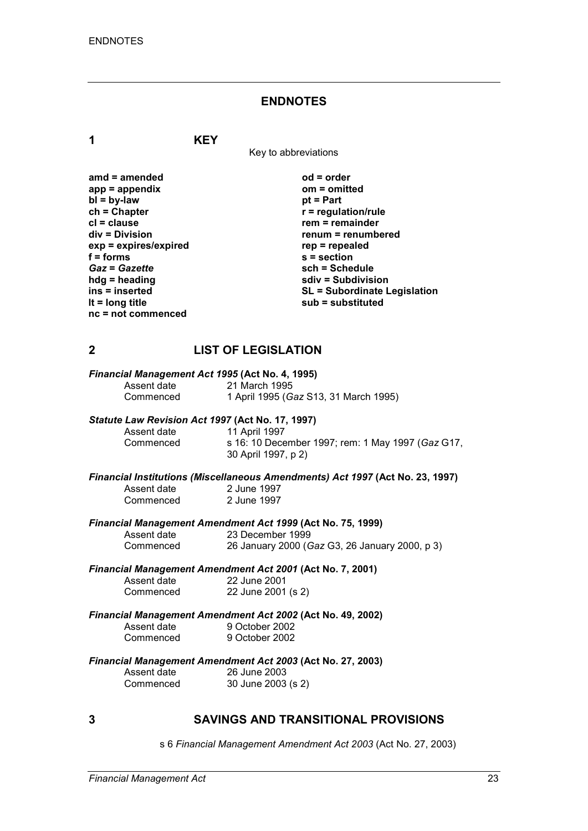#### **ENDNOTES**

**1 KEY**

Key to abbreviations

**amd = amended od = order app = appendix om = omitted bl = by-law**<br>**ch = Chapter ch = Chapter r = regulation/rule cl = clause rem = remainder**  $exp = expires/expired$ <br>**f** = forms **f** = forms <br> **s** = section<br> **Gaz** = Gazette <br> **sch** = Sche *Gaz* = *Gazette* **being the schiff of the schedule**<br> **b c schiff in the schedule**<br> **c schiff in the schedule**<br> **schiff in the schedule**<br> **schiff in the schedule**<br> **schiff in the schedule hdg = heading sdiv = Subdivision nc = not commenced**

**renum = renumbered**<br>rep = repealed **ins = inserted SL = Subordinate Legislation lt = long title sub = substituted**

#### **2 LIST OF LEGISLATION**

# *Financial Management Act 1995* **(Act No. 4, 1995)**

Assent date 21 March 1995<br>Commenced 1 April 1995 (G Commenced 1 April 1995 (*Gaz* S13, 31 March 1995)

#### *Statute Law Revision Act 1997* **(Act No. 17, 1997)**

| Assent date | 11 April 1997                                     |
|-------------|---------------------------------------------------|
| Commenced   | s 16: 10 December 1997; rem: 1 May 1997 (Gaz G17, |
|             | 30 April 1997, p 2)                               |

*Financial Institutions (Miscellaneous Amendments) Act 1997* **(Act No. 23, 1997)** 2 June 1997<br>2 June 1997 Commenced

#### *Financial Management Amendment Act 1999* **(Act No. 75, 1999)**

| Assent date | 23 December 1999                               |
|-------------|------------------------------------------------|
| Commenced   | 26 January 2000 (Gaz G3, 26 January 2000, p 3) |

*Financial Management Amendment Act 2001* **(Act No. 7, 2001)** Assent date

| Assent date | 22 June 2001       |
|-------------|--------------------|
| Commenced   | 22 June 2001 (s 2) |

# *Financial Management Amendment Act 2002* **(Act No. 49, 2002)**

Assent date 9 October 2002<br>Commenced 9 October 2002 9 October 2002

# *Financial Management Amendment Act 2003* **(Act No. 27, 2003)**

26 June 2003 Commenced 30 June 2003 (s 2)

#### **3 SAVINGS AND TRANSITIONAL PROVISIONS**

s 6 *Financial Management Amendment Act 2003* (Act No. 27, 2003)